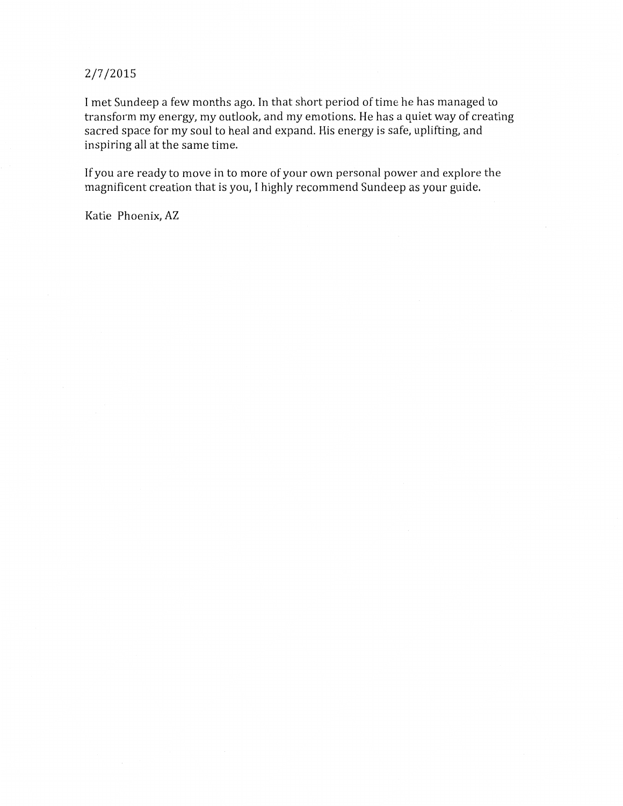## 2/7/2015

I met Sundeep a few months ago. In that short period of time he has managed to transform my energy, my outlook, and my emotions. He has a quiet way of creating sacred space for my soul to heal and expand. His energy is safe, uplifting, and inspiring all at the same time.

If you are ready to move in to more of your own personal power and explore the magnificent creation that is you, I highly recommend Sundeep as your guide.

Katie Phoenix, AZ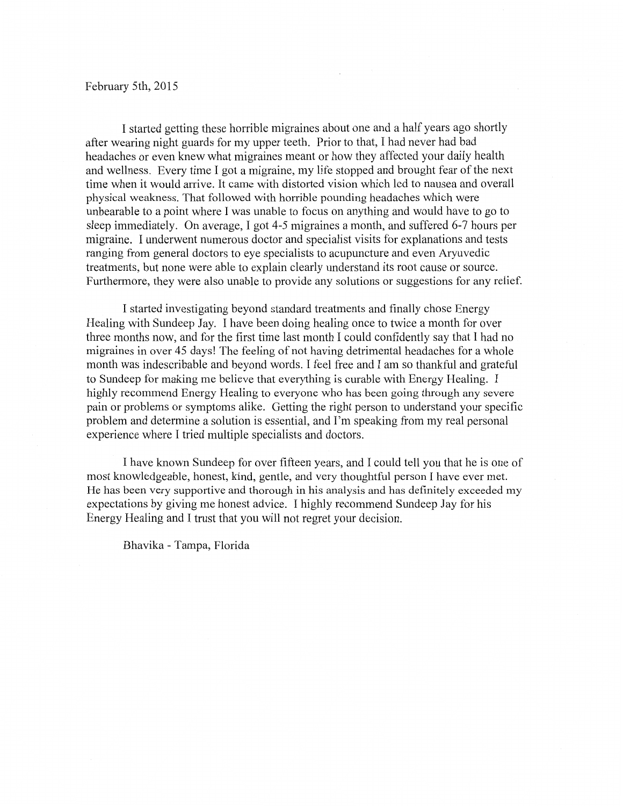## February 5th, 2015

I started getting these horrible migraines about one and a half years ago shortly after wearing night guards for my upper teeth. Prior to that, I had never had bad headaches or even knew what migraines meant or how they affected your daily health and wellness. Every time I got a migraine, my life stopped and brought fear of the next time when it would arrive. It came with distorted vision which led to nausea and overall physical weakness. That followed with horrible pounding headaches which were unbearable to a point where I was unable to focus on anything and would have to go to sleep immediately. On average, I got 4-5 migraines a month, and suffered 6-7 hours per migraine. I underwent numerous doctor and specialist visits for explanations and tests ranging from general doctors to eye specialists to acupuncture and even Aryuvedic treatments, but none were able to explain clearly understand its root cause or source. Furthermore, they were also unable to provide any solutions or suggestions for any relief.

I started investigating beyond standard treatments and finally chose Energy Healing with Sundeep Jay. I have been doing healing once to twice a month for over three months now, and for the first time last month I could confidently say that I had no migraines in over 45 days! The feeling of not having detrimental headaches for a whole month was indescribable and beyond words. I feel free and I am so thankful and grateful to Sundeep for making me believe that everything is curable with Energy Healing. I highly recommend Energy Healing to everyone who has been going through any severe pain or problems or symptoms alike. Getting the right person to understand your specific problem and determine a solution is essential, and I'm speaking from my real personal experience where I tried multiple specialists and doctors.

I have known Sundeep for over fifteen years, and I could tell you that he is one of most knowledgeable, honest, kind, gentle, and very thoughtful person I have ever met. He has been very supportive and thorough in his analysis and has definitely exceeded my expectations by giving me honest advice. I highly recommend Sundeep Jay for his Energy Healing and I trust that you will not regret your decision.

Bhavika - Tampa, Florida